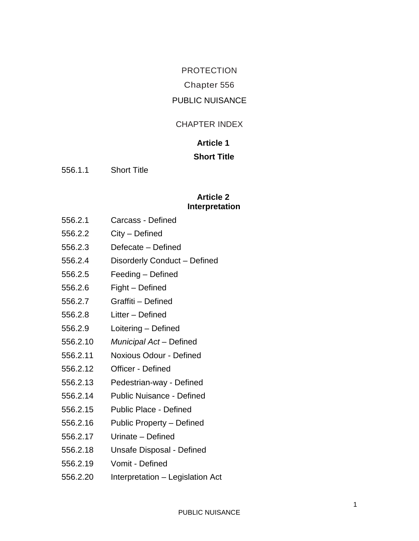# PROTECTION Chapter 556 PUBLIC NUISANCE

#### CHAPTER INDEX

# **Article 1 Short Title**

556.1.1 Short Title

#### **Article 2 Interpretation**

- 556.2.1 Carcass Defined
- 556.2.2 City Defined
- 556.2.3 Defecate Defined
- 556.2.4 Disorderly Conduct Defined
- 556.2.5 Feeding Defined
- 556.2.6 Fight Defined
- 556.2.7 Graffiti Defined
- 556.2.8 Litter Defined
- 556.2.9 Loitering Defined
- 556.2.10 *Municipal Act* Defined
- 556.2.11 Noxious Odour Defined
- 556.2.12 Officer Defined
- 556.2.13 Pedestrian-way Defined
- 556.2.14 Public Nuisance Defined
- 556.2.15 Public Place Defined
- 556.2.16 Public Property Defined
- 556.2.17 Urinate Defined
- 556.2.18 Unsafe Disposal Defined
- 556.2.19 Vomit Defined
- 556.2.20 Interpretation Legislation Act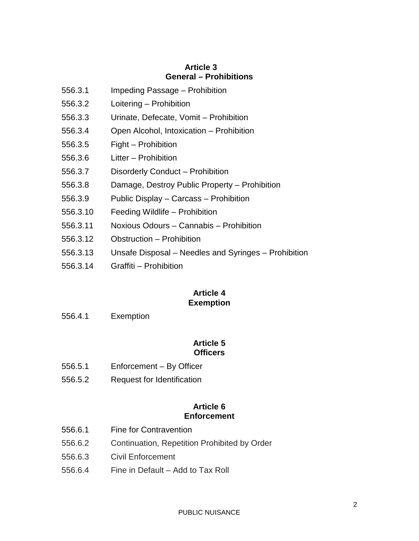### **Article 3 General – Prohibitions**

- 556.3.1 Impeding Passage Prohibition
- 556.3.2 Loitering Prohibition
- 556.3.3 Urinate, Defecate, Vomit Prohibition
- 556.3.4 Open Alcohol, Intoxication Prohibition
- 556.3.5 Fight Prohibition
- 556.3.6 Litter Prohibition
- 556.3.7 Disorderly Conduct Prohibition
- 556.3.8 Damage, Destroy Public Property Prohibition
- 556.3.9 Public Display Carcass Prohibition
- 556.3.10 Feeding Wildlife Prohibition
- 556.3.11 Noxious Odours Cannabis Prohibition
- 556.3.12 Obstruction Prohibition
- 556.3.13 Unsafe Disposal Needles and Syringes Prohibition
- 556.3.14 Graffiti Prohibition

#### **Article 4 Exemption**

556.4.1 Exemption

#### **Article 5 Officers**

- 556.5.1 Enforcement By Officer
- 556.5.2 Request for Identification

#### **Article 6 Enforcement**

- 556.6.1 Fine for Contravention
- 556.6.2 Continuation, Repetition Prohibited by Order
- 556.6.3 Civil Enforcement
- 556.6.4 Fine in Default Add to Tax Roll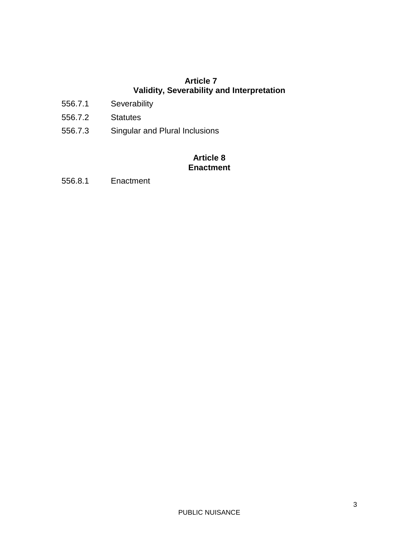## **Article 7 Validity, Severability and Interpretation**

- 556.7.1 Severability
- 556.7.2 Statutes
- 556.7.3 Singular and Plural Inclusions

#### **Article 8 Enactment**

556.8.1 Enactment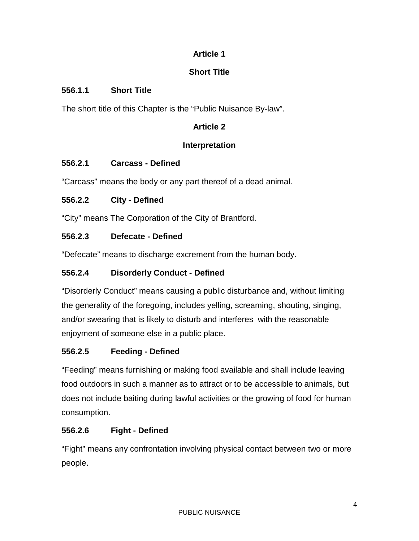# **Article 1**

# **Short Title**

# **556.1.1 Short Title**

The short title of this Chapter is the "Public Nuisance By-law".

# **Article 2**

## **Interpretation**

# **556.2.1 Carcass - Defined**

"Carcass" means the body or any part thereof of a dead animal.

# **556.2.2 City - Defined**

"City" means The Corporation of the City of Brantford.

# **556.2.3 Defecate - Defined**

"Defecate" means to discharge excrement from the human body.

# **556.2.4 Disorderly Conduct - Defined**

"Disorderly Conduct" means causing a public disturbance and, without limiting the generality of the foregoing, includes yelling, screaming, shouting, singing, and/or swearing that is likely to disturb and interferes with the reasonable enjoyment of someone else in a public place.

# **556.2.5 Feeding - Defined**

"Feeding" means furnishing or making food available and shall include leaving food outdoors in such a manner as to attract or to be accessible to animals, but does not include baiting during lawful activities or the growing of food for human consumption.

# **556.2.6 Fight - Defined**

"Fight" means any confrontation involving physical contact between two or more people.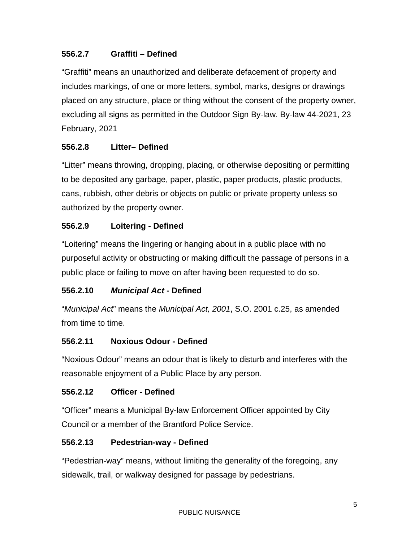## **556.2.7 Graffiti – Defined**

"Graffiti" means an unauthorized and deliberate defacement of property and includes markings, of one or more letters, symbol, marks, designs or drawings placed on any structure, place or thing without the consent of the property owner, excluding all signs as permitted in the Outdoor Sign By-law. By-law 44-2021, 23 February, 2021

## **556.2.8 Litter– Defined**

"Litter" means throwing, dropping, placing, or otherwise depositing or permitting to be deposited any garbage, paper, plastic, paper products, plastic products, cans, rubbish, other debris or objects on public or private property unless so authorized by the property owner.

## **556.2.9 Loitering - Defined**

"Loitering" means the lingering or hanging about in a public place with no purposeful activity or obstructing or making difficult the passage of persons in a public place or failing to move on after having been requested to do so.

### **556.2.10** *Municipal Act* **- Defined**

"*Municipal Act*" means the *Municipal Act, 2001*, S.O. 2001 c.25, as amended from time to time.

### **556.2.11 Noxious Odour - Defined**

"Noxious Odour" means an odour that is likely to disturb and interferes with the reasonable enjoyment of a Public Place by any person.

### **556.2.12 Officer - Defined**

"Officer" means a Municipal By-law Enforcement Officer appointed by City Council or a member of the Brantford Police Service.

### **556.2.13 Pedestrian-way - Defined**

"Pedestrian-way" means, without limiting the generality of the foregoing, any sidewalk, trail, or walkway designed for passage by pedestrians.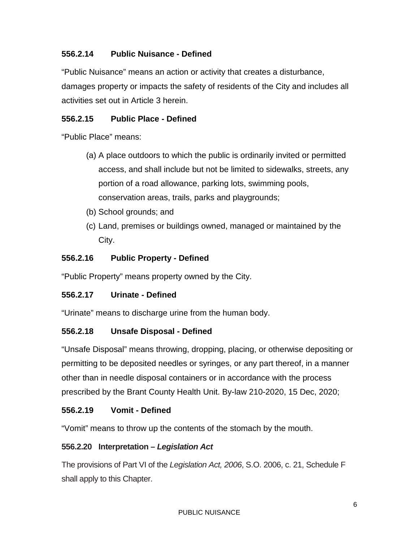## **556.2.14 Public Nuisance - Defined**

"Public Nuisance" means an action or activity that creates a disturbance, damages property or impacts the safety of residents of the City and includes all activities set out in Article 3 herein.

#### **556.2.15 Public Place - Defined**

"Public Place" means:

- (a) A place outdoors to which the public is ordinarily invited or permitted access, and shall include but not be limited to sidewalks, streets, any portion of a road allowance, parking lots, swimming pools, conservation areas, trails, parks and playgrounds;
- (b) School grounds; and
- (c) Land, premises or buildings owned, managed or maintained by the City.

#### **556.2.16 Public Property - Defined**

"Public Property" means property owned by the City.

#### **556.2.17 Urinate - Defined**

"Urinate" means to discharge urine from the human body.

#### **556.2.18 Unsafe Disposal - Defined**

"Unsafe Disposal" means throwing, dropping, placing, or otherwise depositing or permitting to be deposited needles or syringes, or any part thereof, in a manner other than in needle disposal containers or in accordance with the process prescribed by the Brant County Health Unit. By-law 210-2020, 15 Dec, 2020;

#### **556.2.19 Vomit - Defined**

"Vomit" means to throw up the contents of the stomach by the mouth.

#### **556.2.20 Interpretation –** *Legislation Act*

The provisions of Part VI of the *Legislation Act, 2006*, S.O. 2006, c. 21, Schedule F shall apply to this Chapter.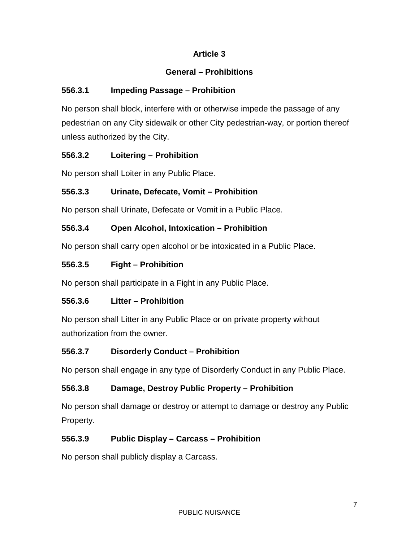# **Article 3**

# **General – Prohibitions**

# **556.3.1 Impeding Passage – Prohibition**

No person shall block, interfere with or otherwise impede the passage of any pedestrian on any City sidewalk or other City pedestrian-way, or portion thereof unless authorized by the City.

# **556.3.2 Loitering – Prohibition**

No person shall Loiter in any Public Place.

# **556.3.3 Urinate, Defecate, Vomit – Prohibition**

No person shall Urinate, Defecate or Vomit in a Public Place.

# **556.3.4 Open Alcohol, Intoxication – Prohibition**

No person shall carry open alcohol or be intoxicated in a Public Place.

# **556.3.5 Fight – Prohibition**

No person shall participate in a Fight in any Public Place.

# **556.3.6 Litter – Prohibition**

No person shall Litter in any Public Place or on private property without authorization from the owner.

# **556.3.7 Disorderly Conduct – Prohibition**

No person shall engage in any type of Disorderly Conduct in any Public Place.

# **556.3.8 Damage, Destroy Public Property – Prohibition**

No person shall damage or destroy or attempt to damage or destroy any Public Property.

# **556.3.9 Public Display – Carcass – Prohibition**

No person shall publicly display a Carcass.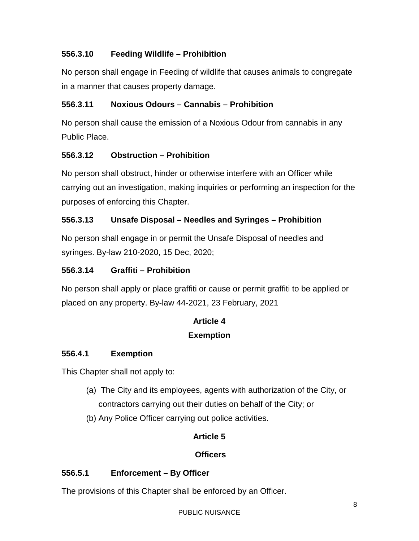# **556.3.10 Feeding Wildlife – Prohibition**

No person shall engage in Feeding of wildlife that causes animals to congregate in a manner that causes property damage.

# **556.3.11 Noxious Odours – Cannabis – Prohibition**

No person shall cause the emission of a Noxious Odour from cannabis in any Public Place.

## **556.3.12 Obstruction – Prohibition**

No person shall obstruct, hinder or otherwise interfere with an Officer while carrying out an investigation, making inquiries or performing an inspection for the purposes of enforcing this Chapter.

## **556.3.13 Unsafe Disposal – Needles and Syringes – Prohibition**

No person shall engage in or permit the Unsafe Disposal of needles and syringes. By-law 210-2020, 15 Dec, 2020;

### **556.3.14 Graffiti – Prohibition**

No person shall apply or place graffiti or cause or permit graffiti to be applied or placed on any property. By-law 44-2021, 23 February, 2021

### **Article 4**

### **Exemption**

### **556.4.1 Exemption**

This Chapter shall not apply to:

- (a) The City and its employees, agents with authorization of the City, or contractors carrying out their duties on behalf of the City; or
- (b) Any Police Officer carrying out police activities.

### **Article 5**

### **Officers**

### **556.5.1 Enforcement – By Officer**

The provisions of this Chapter shall be enforced by an Officer.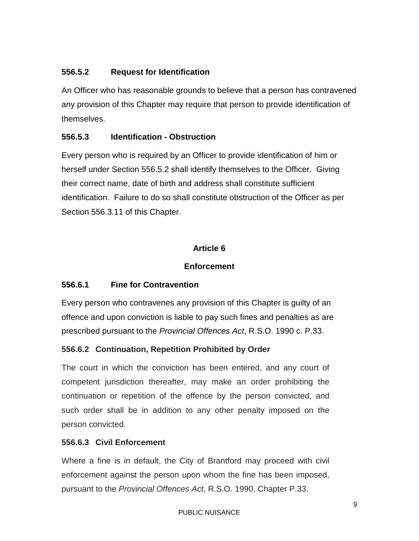## **556.5.2 Request for Identification**

An Officer who has reasonable grounds to believe that a person has contravened any provision of this Chapter may require that person to provide identification of themselves.

### **556.5.3 Identification - Obstruction**

Every person who is required by an Officer to provide identification of him or herself under Section 556.5.2 shall identify themselves to the Officer. Giving their correct name, date of birth and address shall constitute sufficient identification. Failure to do so shall constitute obstruction of the Officer as per Section 556.3.11 of this Chapter.

### **Article 6**

#### **Enforcement**

### **556.6.1 Fine for Contravention**

Every person who contravenes any provision of this Chapter is guilty of an offence and upon conviction is liable to pay such fines and penalties as are prescribed pursuant to the *Provincial Offences Act*, R.S.O. 1990 c. P.33.

### **556.6.2 Continuation, Repetition Prohibited by Order**

The court in which the conviction has been entered, and any court of competent jurisdiction thereafter, may make an order prohibiting the continuation or repetition of the offence by the person convicted, and such order shall be in addition to any other penalty imposed on the person convicted.

#### **556.6.3 Civil Enforcement**

Where a fine is in default, the City of Brantford may proceed with civil enforcement against the person upon whom the fine has been imposed, pursuant to the *Provincial Offences Act*, R.S.O. 1990, Chapter P.33.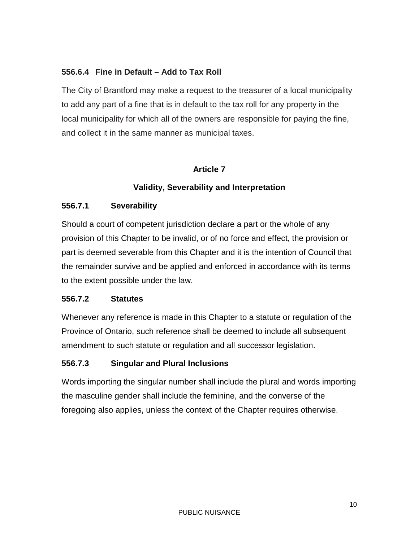### **556.6.4 Fine in Default – Add to Tax Roll**

The City of Brantford may make a request to the treasurer of a local municipality to add any part of a fine that is in default to the tax roll for any property in the local municipality for which all of the owners are responsible for paying the fine, and collect it in the same manner as municipal taxes.

## **Article 7**

## **Validity, Severability and Interpretation**

### **556.7.1 Severability**

Should a court of competent jurisdiction declare a part or the whole of any provision of this Chapter to be invalid, or of no force and effect, the provision or part is deemed severable from this Chapter and it is the intention of Council that the remainder survive and be applied and enforced in accordance with its terms to the extent possible under the law.

### **556.7.2 Statutes**

Whenever any reference is made in this Chapter to a statute or regulation of the Province of Ontario, such reference shall be deemed to include all subsequent amendment to such statute or regulation and all successor legislation.

# **556.7.3 Singular and Plural Inclusions**

Words importing the singular number shall include the plural and words importing the masculine gender shall include the feminine, and the converse of the foregoing also applies, unless the context of the Chapter requires otherwise.